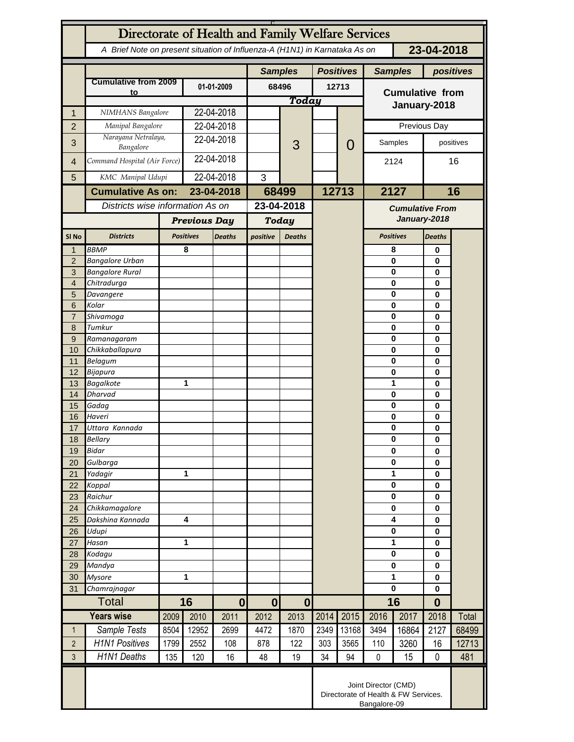|                     | Directorate of Health and Family Welfare Services                            |                                                                            |                  |                  |                |                  |                  |                        |                         |                                     |               |           |  |
|---------------------|------------------------------------------------------------------------------|----------------------------------------------------------------------------|------------------|------------------|----------------|------------------|------------------|------------------------|-------------------------|-------------------------------------|---------------|-----------|--|
|                     |                                                                              | A Brief Note on present situation of Influenza-A (H1N1) in Karnataka As on |                  |                  |                | 23-04-2018       |                  |                        |                         |                                     |               |           |  |
|                     |                                                                              |                                                                            |                  |                  | <b>Samples</b> |                  | <b>Positives</b> |                        |                         | <b>Samples</b>                      | positives     |           |  |
|                     | <b>Cumulative from 2009</b>                                                  |                                                                            | 01-01-2009       |                  | 68496<br>Today |                  | 12713            |                        | <b>Cumulative from</b>  |                                     |               |           |  |
|                     | to                                                                           |                                                                            |                  |                  |                |                  |                  |                        |                         |                                     |               |           |  |
| $\mathbf{1}$        | NIMHANS Bangalore                                                            |                                                                            | 22-04-2018       |                  |                |                  |                  |                        | January-2018            |                                     |               |           |  |
| $\overline{2}$      | Manipal Bangalore                                                            |                                                                            | 22-04-2018       |                  |                |                  |                  |                        | Previous Day            |                                     |               |           |  |
| 3                   | Narayana Netralaya,                                                          |                                                                            | 22-04-2018       |                  |                | 3                |                  | 0                      |                         | Samples                             |               | positives |  |
|                     | Bangalore<br>Command Hospital (Air Force)                                    |                                                                            | 22-04-2018       |                  |                |                  |                  |                        |                         |                                     |               |           |  |
| $\overline{4}$      |                                                                              |                                                                            |                  |                  |                |                  |                  |                        | 2124                    |                                     | 16            |           |  |
| 5                   | KMC Manipal Udupi                                                            |                                                                            | 22-04-2018       |                  | 3              |                  |                  |                        | 2127                    |                                     |               |           |  |
|                     | <b>Cumulative As on:</b>                                                     |                                                                            | 23-04-2018       |                  | 68499          |                  |                  | 12713                  |                         | 16                                  |               |           |  |
|                     | Districts wise information As on                                             |                                                                            |                  | 23-04-2018       |                |                  |                  | <b>Cumulative From</b> |                         |                                     |               |           |  |
|                     |                                                                              | <b>Previous Day</b>                                                        |                  | <b>Today</b>     |                |                  |                  |                        | January-2018            |                                     |               |           |  |
| SI No               | <b>Districts</b>                                                             |                                                                            | <b>Positives</b> | <b>Deaths</b>    | positive       | <b>Deaths</b>    |                  |                        |                         | <b>Positives</b>                    | <b>Deaths</b> |           |  |
| $\mathbf{1}$        | <b>BBMP</b>                                                                  |                                                                            | 8                |                  |                |                  |                  |                        |                         | 8                                   | 0             |           |  |
| $\overline{2}$      | <b>Bangalore Urban</b>                                                       |                                                                            |                  |                  |                |                  |                  |                        |                         | $\bf{0}$<br>$\bf{0}$                | 0             |           |  |
| 3<br>$\overline{4}$ | <b>Bangalore Rural</b><br>Chitradurga                                        |                                                                            |                  |                  |                |                  |                  |                        |                         | $\bf{0}$                            | 0<br>0        |           |  |
| 5                   | Davangere                                                                    |                                                                            |                  |                  |                |                  |                  |                        |                         | $\bf{0}$                            | 0             |           |  |
| 6                   | Kolar                                                                        |                                                                            |                  |                  |                |                  |                  |                        |                         | $\bf{0}$                            | 0             |           |  |
| $\overline{7}$      | Shivamoga                                                                    |                                                                            |                  |                  |                |                  |                  |                        |                         | $\bf{0}$                            | 0             |           |  |
| 8                   | Tumkur                                                                       |                                                                            |                  |                  |                |                  |                  |                        |                         | $\bf{0}$                            | 0             |           |  |
| $9$                 | Ramanagaram                                                                  |                                                                            |                  |                  |                |                  |                  |                        |                         | $\bf{0}$<br>$\bf{0}$                | 0             |           |  |
| 10<br>11            | Chikkaballapura<br>Belagum                                                   |                                                                            |                  |                  |                |                  |                  |                        |                         | $\bf{0}$                            | 0<br>0        |           |  |
| 12                  | Bijapura                                                                     |                                                                            |                  |                  |                |                  |                  |                        |                         | $\bf{0}$                            | 0             |           |  |
| 13                  | <b>Bagalkote</b>                                                             |                                                                            | 1                |                  |                |                  |                  |                        |                         | 1                                   | 0             |           |  |
| 14                  | Dharvad                                                                      |                                                                            |                  |                  |                |                  |                  |                        |                         | $\bf{0}$                            | 0             |           |  |
| 15                  | Gadag                                                                        |                                                                            |                  |                  |                |                  |                  |                        |                         | $\bf{0}$                            | 0             |           |  |
| 16                  | Haveri                                                                       |                                                                            |                  |                  |                |                  |                  |                        |                         | $\bf{0}$<br>$\bf{0}$                | 0             |           |  |
| 17<br>18            | Uttara Kannada<br><b>Bellary</b>                                             |                                                                            |                  |                  |                |                  |                  |                        |                         | $\bf{0}$                            | 0<br>0        |           |  |
| 19                  | Bidar                                                                        |                                                                            |                  |                  |                |                  |                  |                        | $\bf{0}$                |                                     | 0             |           |  |
| 20                  | Gulbarga                                                                     |                                                                            |                  |                  |                |                  |                  |                        |                         | $\bf{0}$                            |               |           |  |
| 21                  | Yadagir                                                                      |                                                                            | 1                |                  |                |                  |                  |                        |                         | 1                                   |               |           |  |
| 22                  | Koppal                                                                       |                                                                            |                  |                  |                |                  |                  |                        |                         | $\bf{0}$                            |               |           |  |
| 23                  | Raichur                                                                      |                                                                            |                  |                  |                |                  |                  |                        |                         | $\bf{0}$                            |               |           |  |
| 24                  | Chikkamagalore<br>Dakshina Kannada                                           |                                                                            | 4                |                  |                |                  |                  |                        |                         | $\bf{0}$<br>$\overline{\mathbf{4}}$ |               |           |  |
| 25<br>26            | Udupi                                                                        |                                                                            |                  |                  |                |                  |                  |                        |                         | $\pmb{0}$                           | 0<br>0        |           |  |
| 27                  | Hasan                                                                        |                                                                            | 1                |                  |                |                  |                  |                        |                         | 1                                   | 0             |           |  |
| 28                  | Kodagu                                                                       |                                                                            |                  |                  |                |                  |                  |                        | $\overline{\mathbf{0}}$ |                                     | 0             |           |  |
| 29                  | Mandya                                                                       |                                                                            |                  |                  |                |                  |                  |                        |                         | $\mathbf 0$                         |               |           |  |
| 30                  | <b>Mysore</b>                                                                |                                                                            | 1                |                  |                |                  |                  |                        | 1                       |                                     | 0             |           |  |
| 31                  | Chamrajnagar                                                                 |                                                                            |                  |                  |                |                  |                  |                        | $\mathbf 0$             |                                     | 0             |           |  |
|                     | <b>Total</b>                                                                 |                                                                            | 16               | $\boldsymbol{0}$ | $\bf{0}$       | $\boldsymbol{0}$ |                  |                        |                         | 16                                  | $\bf{0}$      |           |  |
|                     | <b>Years wise</b>                                                            | 2009                                                                       | 2010             | 2011             | 2012           | 2013             | 2014             | 2015                   | 2016                    | 2017                                | 2018          | Total     |  |
| $\mathbf{1}$        | Sample Tests                                                                 | 8504                                                                       | 12952            | 2699             | 4472           | 1870             | 2349             | 13168                  | 3494                    | 16864                               | 2127          | 68499     |  |
| $\overline{2}$      | <b>H1N1 Positives</b>                                                        | 1799                                                                       | 2552             | 108              | 878            | 122              | 303              | 3565                   | 110                     | 3260                                | 16            | 12713     |  |
| $\mathfrak{Z}$      | <b>H1N1 Deaths</b>                                                           | 135                                                                        | 120              | 16               | 48             | 19               | 34               | 94                     | 0                       | 15                                  | 0             | 481       |  |
|                     | Joint Director (CMD)<br>Directorate of Health & FW Services.<br>Bangalore-09 |                                                                            |                  |                  |                |                  |                  |                        |                         |                                     |               |           |  |